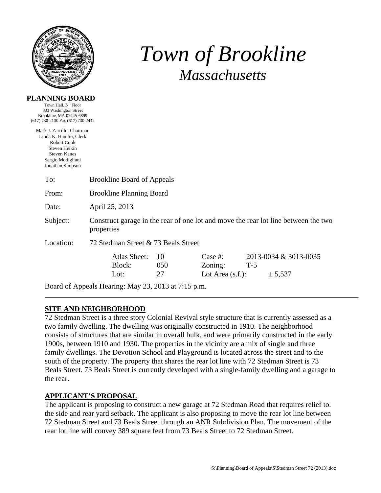

**PLANNING BOARD**  Town Hall,  $3^{\text{rd}}$  Floor

# *Town of Brookline Massachusetts*

| Brookline, MA 02445-6899<br>(617) 730-2130 Fax (617) 730-2442<br>Mark J. Zarrillo, Chairman<br>Linda K. Hamlin, Clerk<br>Robert Cook<br>Steven Heikin<br><b>Steven Kanes</b><br>Sergio Modigliani<br>Jonathan Simpson<br>To:<br><b>Brookline Board of Appeals</b><br><b>Brookline Planning Board</b><br>From:<br>April 25, 2013<br>Date:<br>Subject:<br>Construct garage in the rear of one lot and move the rear lot line between the two |  |
|--------------------------------------------------------------------------------------------------------------------------------------------------------------------------------------------------------------------------------------------------------------------------------------------------------------------------------------------------------------------------------------------------------------------------------------------|--|
|                                                                                                                                                                                                                                                                                                                                                                                                                                            |  |
|                                                                                                                                                                                                                                                                                                                                                                                                                                            |  |
|                                                                                                                                                                                                                                                                                                                                                                                                                                            |  |
|                                                                                                                                                                                                                                                                                                                                                                                                                                            |  |
|                                                                                                                                                                                                                                                                                                                                                                                                                                            |  |
|                                                                                                                                                                                                                                                                                                                                                                                                                                            |  |
| properties                                                                                                                                                                                                                                                                                                                                                                                                                                 |  |
| Location:<br>72 Stedman Street & 73 Beals Street                                                                                                                                                                                                                                                                                                                                                                                           |  |
| <b>Atlas Sheet:</b><br>Case $#$ :<br>2013-0034 & 3013-0035<br>10<br>Block:<br>050<br>Zoning:<br>$T-5$<br>27<br>Lot Area $(s.f.)$ :<br>Lot:<br>± 5,537                                                                                                                                                                                                                                                                                      |  |
| Board of Appeals Hearing: May 23, 2013 at 7:15 p.m.                                                                                                                                                                                                                                                                                                                                                                                        |  |

## **SITE AND NEIGHBORHOOD**

72 Stedman Street is a three story Colonial Revival style structure that is currently assessed as a two family dwelling. The dwelling was originally constructed in 1910. The neighborhood consists of structures that are similar in overall bulk, and were primarily constructed in the early 1900s, between 1910 and 1930. The properties in the vicinity are a mix of single and three family dwellings. The Devotion School and Playground is located across the street and to the south of the property. The property that shares the rear lot line with 72 Stedman Street is 73 Beals Street. 73 Beals Street is currently developed with a single-family dwelling and a garage to the rear.

## **APPLICANT'S PROPOSAL**

The applicant is proposing to construct a new garage at 72 Stedman Road that requires relief to. the side and rear yard setback. The applicant is also proposing to move the rear lot line between 72 Stedman Street and 73 Beals Street through an ANR Subdivision Plan. The movement of the rear lot line will convey 389 square feet from 73 Beals Street to 72 Stedman Street.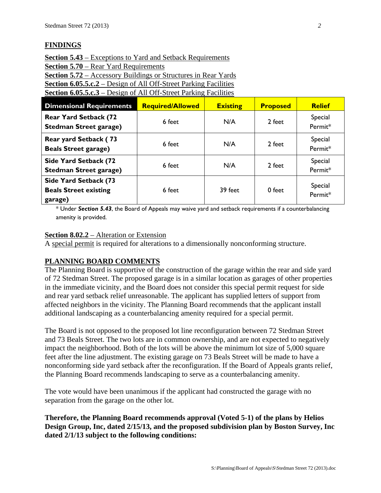## **FINDINGS**

**Section 5.43** – Exceptions to Yard and Setback Requirements **Section 5.70** – Rear Yard Requirements **Section 5.72** – Accessory Buildings or Structures in Rear Yards **Section 6.05.5.c.2** – Design of All Off-Street Parking Facilities

**Section 6.05.5.c.3** – Design of All Off-Street Parking Facilities

| <b>Dimensional Requirements</b>                                  | <b>Required/Allowed</b> | <b>Existing</b> | <b>Proposed</b> | <b>Relief</b>      |
|------------------------------------------------------------------|-------------------------|-----------------|-----------------|--------------------|
| <b>Rear Yard Setback (72</b><br><b>Stedman Street garage)</b>    | 6 feet                  | N/A             | 2 feet          | Special<br>Permit* |
| Rear yard Setback (73<br><b>Beals Street garage)</b>             | 6 feet                  | N/A             | 2 feet          | Special<br>Permit* |
| Side Yard Setback (72<br><b>Stedman Street garage)</b>           | 6 feet                  | N/A             | 2 feet          | Special<br>Permit* |
| Side Yard Setback (73<br><b>Beals Street existing</b><br>garage) | 6 feet                  | 39 feet         | 0 feet          | Special<br>Permit* |

\* Under *Section 5.43*, the Board of Appeals may waive yard and setback requirements if a counterbalancing amenity is provided.

#### **Section 8.02.2** – Alteration or Extension

A special permit is required for alterations to a dimensionally nonconforming structure.

## **PLANNING BOARD COMMENTS**

The Planning Board is supportive of the construction of the garage within the rear and side yard of 72 Stedman Street. The proposed garage is in a similar location as garages of other properties in the immediate vicinity, and the Board does not consider this special permit request for side and rear yard setback relief unreasonable. The applicant has supplied letters of support from affected neighbors in the vicinity. The Planning Board recommends that the applicant install additional landscaping as a counterbalancing amenity required for a special permit.

The Board is not opposed to the proposed lot line reconfiguration between 72 Stedman Street and 73 Beals Street. The two lots are in common ownership, and are not expected to negatively impact the neighborhood. Both of the lots will be above the minimum lot size of 5,000 square feet after the line adjustment. The existing garage on 73 Beals Street will be made to have a nonconforming side yard setback after the reconfiguration. If the Board of Appeals grants relief, the Planning Board recommends landscaping to serve as a counterbalancing amenity.

The vote would have been unanimous if the applicant had constructed the garage with no separation from the garage on the other lot.

**Therefore, the Planning Board recommends approval (Voted 5-1) of the plans by Helios Design Group, Inc, dated 2/15/13, and the proposed subdivision plan by Boston Survey, Inc dated 2/1/13 subject to the following conditions:**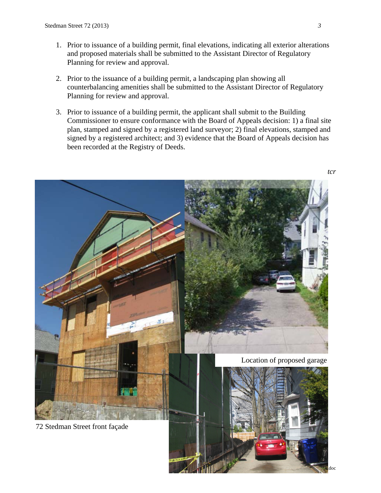- 1. Prior to issuance of a building permit, final elevations, indicating all exterior alterations and proposed materials shall be submitted to the Assistant Director of Regulatory Planning for review and approval.
- 2. Prior to the issuance of a building permit, a landscaping plan showing all counterbalancing amenities shall be submitted to the Assistant Director of Regulatory Planning for review and approval.
- 3. Prior to issuance of a building permit, the applicant shall submit to the Building Commissioner to ensure conformance with the Board of Appeals decision: 1) a final site plan, stamped and signed by a registered land surveyor; 2) final elevations, stamped and signed by a registered architect; and 3) evidence that the Board of Appeals decision has been recorded at the Registry of Deeds.